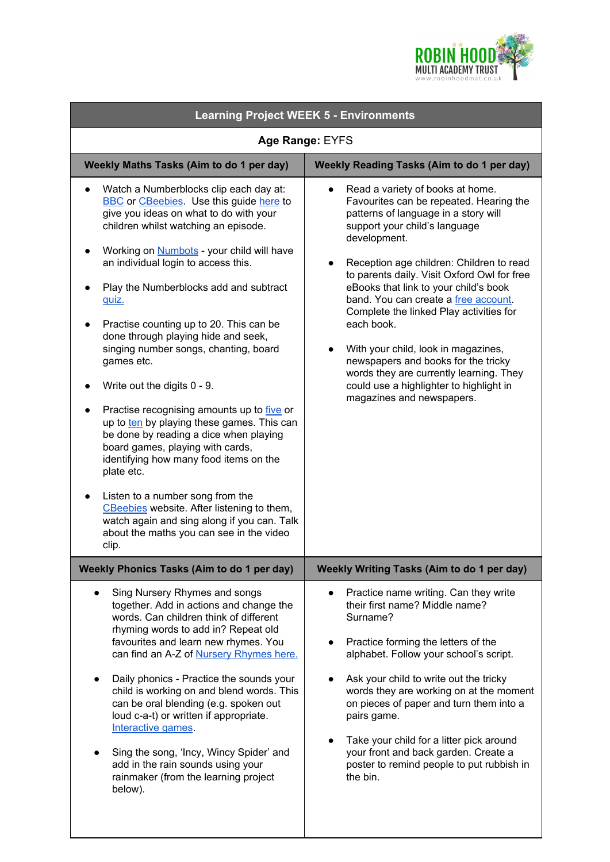

| <b>Learning Project WEEK 5 - Environments</b>                                                                                                                                                                                                                                                                                                                                                                                                                                                                                                                                                                                                                                                                                                                                                                                                                                                                                                 |                                                                                                                                                                                                                                                                                                                                                                                                                                                                                                                                                                                                                         |
|-----------------------------------------------------------------------------------------------------------------------------------------------------------------------------------------------------------------------------------------------------------------------------------------------------------------------------------------------------------------------------------------------------------------------------------------------------------------------------------------------------------------------------------------------------------------------------------------------------------------------------------------------------------------------------------------------------------------------------------------------------------------------------------------------------------------------------------------------------------------------------------------------------------------------------------------------|-------------------------------------------------------------------------------------------------------------------------------------------------------------------------------------------------------------------------------------------------------------------------------------------------------------------------------------------------------------------------------------------------------------------------------------------------------------------------------------------------------------------------------------------------------------------------------------------------------------------------|
| Age Range: EYFS                                                                                                                                                                                                                                                                                                                                                                                                                                                                                                                                                                                                                                                                                                                                                                                                                                                                                                                               |                                                                                                                                                                                                                                                                                                                                                                                                                                                                                                                                                                                                                         |
| Weekly Maths Tasks (Aim to do 1 per day)                                                                                                                                                                                                                                                                                                                                                                                                                                                                                                                                                                                                                                                                                                                                                                                                                                                                                                      | Weekly Reading Tasks (Aim to do 1 per day)                                                                                                                                                                                                                                                                                                                                                                                                                                                                                                                                                                              |
| Watch a Numberblocks clip each day at:<br>$\bullet$<br><b>BBC</b> or <b>CBeebies</b> . Use this guide here to<br>give you ideas on what to do with your<br>children whilst watching an episode.<br>Working on <b>Numbots</b> - your child will have<br>an individual login to access this.<br>Play the Numberblocks add and subtract<br>quiz.<br>Practise counting up to 20. This can be<br>done through playing hide and seek,<br>singing number songs, chanting, board<br>games etc.<br>Write out the digits 0 - 9.<br>Practise recognising amounts up to five or<br>up to ten by playing these games. This can<br>be done by reading a dice when playing<br>board games, playing with cards,<br>identifying how many food items on the<br>plate etc.<br>Listen to a number song from the<br>CBeebies website. After listening to them,<br>watch again and sing along if you can. Talk<br>about the maths you can see in the video<br>clip. | Read a variety of books at home.<br>$\bullet$<br>Favourites can be repeated. Hearing the<br>patterns of language in a story will<br>support your child's language<br>development.<br>Reception age children: Children to read<br>to parents daily. Visit Oxford Owl for free<br>eBooks that link to your child's book<br>band. You can create a free account.<br>Complete the linked Play activities for<br>each book.<br>With your child, look in magazines,<br>newspapers and books for the tricky<br>words they are currently learning. They<br>could use a highlighter to highlight in<br>magazines and newspapers. |
| <b>Weekly Phonics Tasks (Aim to do 1 per day)</b>                                                                                                                                                                                                                                                                                                                                                                                                                                                                                                                                                                                                                                                                                                                                                                                                                                                                                             | Weekly Writing Tasks (Aim to do 1 per day)                                                                                                                                                                                                                                                                                                                                                                                                                                                                                                                                                                              |
| Sing Nursery Rhymes and songs<br>together. Add in actions and change the<br>words. Can children think of different<br>rhyming words to add in? Repeat old<br>favourites and learn new rhymes. You<br>can find an A-Z of Nursery Rhymes here.<br>Daily phonics - Practice the sounds your<br>$\bullet$<br>child is working on and blend words. This<br>can be oral blending (e.g. spoken out<br>loud c-a-t) or written if appropriate.<br>Interactive games.<br>Sing the song, 'Incy, Wincy Spider' and<br>add in the rain sounds using your<br>rainmaker (from the learning project<br>below).                                                                                                                                                                                                                                                                                                                                                | Practice name writing. Can they write<br>$\bullet$<br>their first name? Middle name?<br>Surname?<br>Practice forming the letters of the<br>$\bullet$<br>alphabet. Follow your school's script.<br>Ask your child to write out the tricky<br>words they are working on at the moment<br>on pieces of paper and turn them into a<br>pairs game.<br>Take your child for a litter pick around<br>your front and back garden. Create a<br>poster to remind people to put rubbish in<br>the bin.                                                                                                                              |